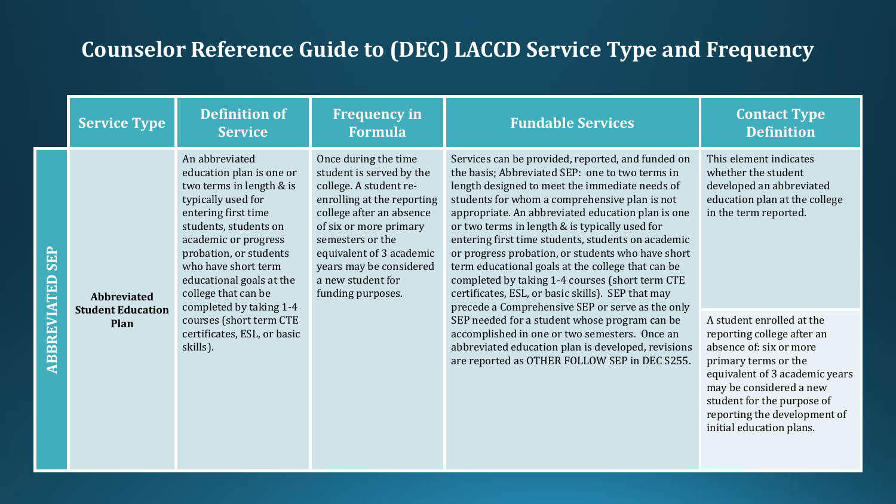|             | <b>Service Type</b>                     | <b>Definition of</b><br><b>Service</b>                                                                                                                                                                                                                                                              | <b>Frequency in</b><br><b>Formula</b>                                                                                                                                                                                                                                                                                                                                                                                                                                                                                                                                                                                                                                                                                                                                                                                                                                                                                             | <b>Fundable Services</b>                                                                                                                                                                              | <b>Contact Type</b><br><b>Definition</b>                                                                                                                                                              |
|-------------|-----------------------------------------|-----------------------------------------------------------------------------------------------------------------------------------------------------------------------------------------------------------------------------------------------------------------------------------------------------|-----------------------------------------------------------------------------------------------------------------------------------------------------------------------------------------------------------------------------------------------------------------------------------------------------------------------------------------------------------------------------------------------------------------------------------------------------------------------------------------------------------------------------------------------------------------------------------------------------------------------------------------------------------------------------------------------------------------------------------------------------------------------------------------------------------------------------------------------------------------------------------------------------------------------------------|-------------------------------------------------------------------------------------------------------------------------------------------------------------------------------------------------------|-------------------------------------------------------------------------------------------------------------------------------------------------------------------------------------------------------|
| <b>SEP</b>  | <b>Abbreviated</b>                      | An abbreviated<br>education plan is one or<br>two terms in length & is<br>typically used for<br>entering first time<br>students, students on<br>academic or progress<br>probation, or students<br>who have short term<br>educational goals at the<br>college that can be<br>completed by taking 1-4 | Once during the time<br>Services can be provided, reported, and funded on<br>student is served by the<br>the basis; Abbreviated SEP: one to two terms in<br>college. A student re-<br>length designed to meet the immediate needs of<br>students for whom a comprehensive plan is not<br>enrolling at the reporting<br>appropriate. An abbreviated education plan is one<br>college after an absence<br>or two terms in length & is typically used for<br>of six or more primary<br>semesters or the<br>entering first time students, students on academic<br>or progress probation, or students who have short<br>equivalent of 3 academic<br>years may be considered<br>term educational goals at the college that can be<br>completed by taking 1-4 courses (short term CTE<br>a new student for<br>certificates, ESL, or basic skills). SEP that may<br>funding purposes.<br>precede a Comprehensive SEP or serve as the only |                                                                                                                                                                                                       | This element indicates<br>whether the student<br>developed an abbreviated<br>education plan at the college<br>in the term reported.                                                                   |
| ABBREVIATED | <b>Student Education</b><br><b>Plan</b> | courses (short term CTE<br>certificates, ESL, or basic<br>skills).                                                                                                                                                                                                                                  |                                                                                                                                                                                                                                                                                                                                                                                                                                                                                                                                                                                                                                                                                                                                                                                                                                                                                                                                   | SEP needed for a student whose program can be<br>accomplished in one or two semesters. Once an<br>abbreviated education plan is developed, revisions<br>are reported as OTHER FOLLOW SEP in DEC S255. | A student enrolled at the<br>reporting college after an<br>absence of: six or more<br>primary terms or the<br>equivalent of 3 academic years<br>may be considered a new<br>student for the nurnose of |

student for the reporting the development of initial education plans.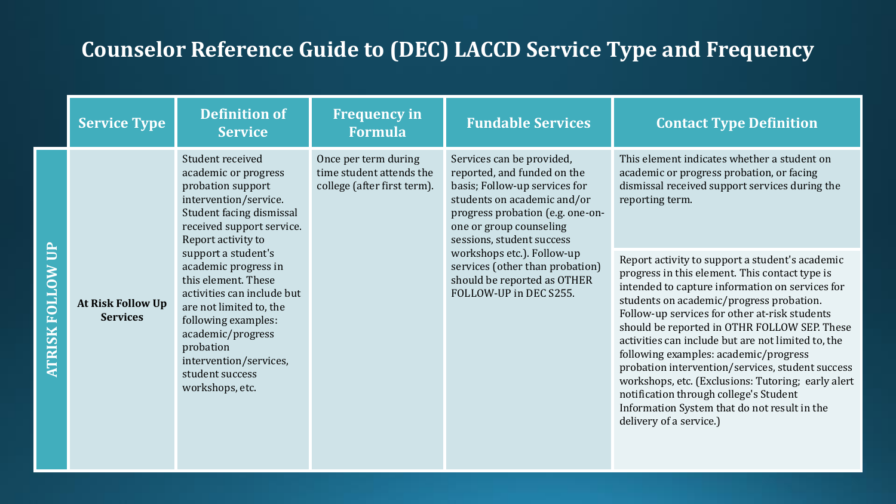| <b>Service Type</b>                  | <b>Definition of</b><br><b>Service</b>                                                                                                                                                                                                               | <b>Frequency in</b><br><b>Formula</b>                                           | <b>Fundable Services</b>                                                                                                                                                                                             | <b>Contact Type Definition</b>                                                                                                                                                                                                                                                                                                                                                                                                                                                                                                                                                                                                  |
|--------------------------------------|------------------------------------------------------------------------------------------------------------------------------------------------------------------------------------------------------------------------------------------------------|---------------------------------------------------------------------------------|----------------------------------------------------------------------------------------------------------------------------------------------------------------------------------------------------------------------|---------------------------------------------------------------------------------------------------------------------------------------------------------------------------------------------------------------------------------------------------------------------------------------------------------------------------------------------------------------------------------------------------------------------------------------------------------------------------------------------------------------------------------------------------------------------------------------------------------------------------------|
|                                      | Student received<br>academic or progress<br>probation support<br>intervention/service.<br>Student facing dismissal<br>received support service.<br>Report activity to                                                                                | Once per term during<br>time student attends the<br>college (after first term). | Services can be provided,<br>reported, and funded on the<br>basis; Follow-up services for<br>students on academic and/or<br>progress probation (e.g. one-on-<br>one or group counseling<br>sessions, student success | This element indicates whether a student on<br>academic or progress probation, or facing<br>dismissal received support services during the<br>reporting term.                                                                                                                                                                                                                                                                                                                                                                                                                                                                   |
| At Risk Follow Up<br><b>Services</b> | support a student's<br>academic progress in<br>this element. These<br>activities can include but<br>are not limited to, the<br>following examples:<br>academic/progress<br>probation<br>intervention/services,<br>student success<br>workshops, etc. |                                                                                 | workshops etc.). Follow-up<br>services (other than probation)<br>should be reported as OTHER<br>FOLLOW-UP in DEC S255.                                                                                               | Report activity to support a student's academic<br>progress in this element. This contact type is<br>intended to capture information on services for<br>students on academic/progress probation.<br>Follow-up services for other at-risk students<br>should be reported in OTHR FOLLOW SEP. These<br>activities can include but are not limited to, the<br>following examples: academic/progress<br>probation intervention/services, student success<br>workshops, etc. (Exclusions: Tutoring; early alert<br>notification through college's Student<br>Information System that do not result in the<br>delivery of a service.) |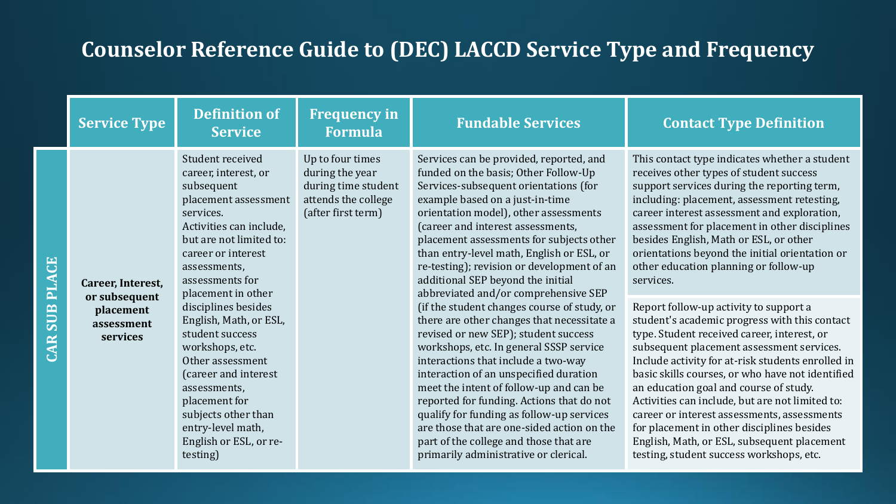|                                   | <b>Service Type</b>                                                       | <b>Definition of</b><br><b>Service</b>                                                                                                                                                                                                                                                                                                                                                                                                                                                 | <b>Frequency in</b><br><b>Formula</b>                                                                   | <b>Fundable Services</b>                                                                                                                                                                                                                                                                                                                                                                                                                                                                                                                                                                                                                                                                                                                                                                                                                                                                                                                                                                             | <b>Contact Type Definition</b>                                                                                                                                                                                                                                                                                                                                                                                                                                                                                                                                                                                                                                                                                                                                                                                                                                                                                                                                                                                                |
|-----------------------------------|---------------------------------------------------------------------------|----------------------------------------------------------------------------------------------------------------------------------------------------------------------------------------------------------------------------------------------------------------------------------------------------------------------------------------------------------------------------------------------------------------------------------------------------------------------------------------|---------------------------------------------------------------------------------------------------------|------------------------------------------------------------------------------------------------------------------------------------------------------------------------------------------------------------------------------------------------------------------------------------------------------------------------------------------------------------------------------------------------------------------------------------------------------------------------------------------------------------------------------------------------------------------------------------------------------------------------------------------------------------------------------------------------------------------------------------------------------------------------------------------------------------------------------------------------------------------------------------------------------------------------------------------------------------------------------------------------------|-------------------------------------------------------------------------------------------------------------------------------------------------------------------------------------------------------------------------------------------------------------------------------------------------------------------------------------------------------------------------------------------------------------------------------------------------------------------------------------------------------------------------------------------------------------------------------------------------------------------------------------------------------------------------------------------------------------------------------------------------------------------------------------------------------------------------------------------------------------------------------------------------------------------------------------------------------------------------------------------------------------------------------|
| <b>PLACE</b><br><b>SUB</b><br>CAR | Career, Interest,<br>or subsequent<br>placement<br>assessment<br>services | Student received<br>career, interest, or<br>subsequent<br>placement assessment<br>services.<br>Activities can include,<br>but are not limited to:<br>career or interest<br>assessments,<br>assessments for<br>placement in other<br>disciplines besides<br>English, Math, or ESL,<br>student success<br>workshops, etc.<br>Other assessment<br>(career and interest<br>assessments,<br>placement for<br>subjects other than<br>entry-level math,<br>English or ESL, or re-<br>testing) | Up to four times<br>during the year<br>during time student<br>attends the college<br>(after first term) | Services can be provided, reported, and<br>funded on the basis; Other Follow-Up<br>Services-subsequent orientations (for<br>example based on a just-in-time<br>orientation model), other assessments<br>(career and interest assessments,<br>placement assessments for subjects other<br>than entry-level math, English or ESL, or<br>re-testing); revision or development of an<br>additional SEP beyond the initial<br>abbreviated and/or comprehensive SEP<br>(if the student changes course of study, or<br>there are other changes that necessitate a<br>revised or new SEP); student success<br>workshops, etc. In general SSSP service<br>interactions that include a two-way<br>interaction of an unspecified duration<br>meet the intent of follow-up and can be<br>reported for funding. Actions that do not<br>qualify for funding as follow-up services<br>are those that are one-sided action on the<br>part of the college and those that are<br>primarily administrative or clerical. | This contact type indicates whether a student<br>receives other types of student success<br>support services during the reporting term,<br>including: placement, assessment retesting,<br>career interest assessment and exploration,<br>assessment for placement in other disciplines<br>besides English, Math or ESL, or other<br>orientations beyond the initial orientation or<br>other education planning or follow-up<br>services.<br>Report follow-up activity to support a<br>student's academic progress with this contact<br>type. Student received career, interest, or<br>subsequent placement assessment services.<br>Include activity for at-risk students enrolled in<br>basic skills courses, or who have not identified<br>an education goal and course of study.<br>Activities can include, but are not limited to:<br>career or interest assessments, assessments<br>for placement in other disciplines besides<br>English, Math, or ESL, subsequent placement<br>testing, student success workshops, etc. |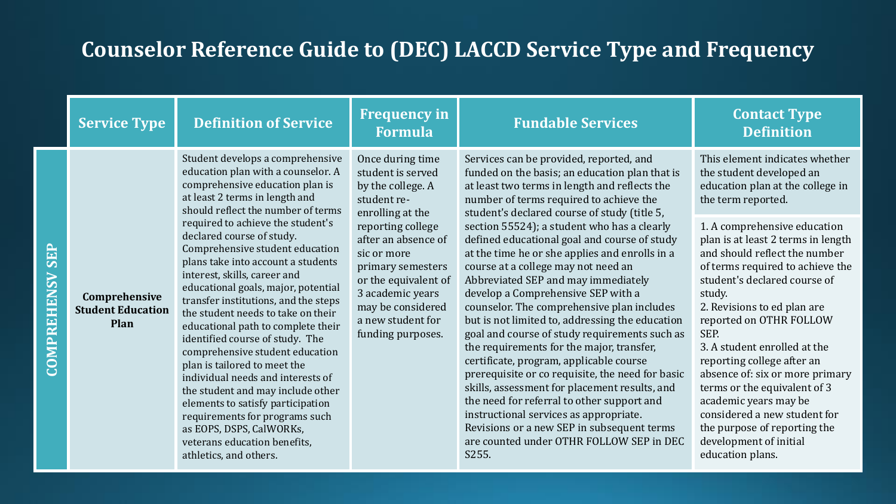|                           | <b>Service Type</b>                               | <b>Definition of Service</b>                                                                                                                                                                                                                                                                                                                                                                                                                                                                                                                                                                                                                                                    | <b>Frequency in</b><br><b>Formula</b>                                                                                                                                                   | <b>Fundable Services</b>                                                                                                                                                                                                                                                                                                                                                                                                                                                                                                                                                                                                                                                                                                                                                                                    | <b>Contact Type</b><br><b>Definition</b>                                                                                                                                                                                                                                                                                                                                                                                                                                                                                    |
|---------------------------|---------------------------------------------------|---------------------------------------------------------------------------------------------------------------------------------------------------------------------------------------------------------------------------------------------------------------------------------------------------------------------------------------------------------------------------------------------------------------------------------------------------------------------------------------------------------------------------------------------------------------------------------------------------------------------------------------------------------------------------------|-----------------------------------------------------------------------------------------------------------------------------------------------------------------------------------------|-------------------------------------------------------------------------------------------------------------------------------------------------------------------------------------------------------------------------------------------------------------------------------------------------------------------------------------------------------------------------------------------------------------------------------------------------------------------------------------------------------------------------------------------------------------------------------------------------------------------------------------------------------------------------------------------------------------------------------------------------------------------------------------------------------------|-----------------------------------------------------------------------------------------------------------------------------------------------------------------------------------------------------------------------------------------------------------------------------------------------------------------------------------------------------------------------------------------------------------------------------------------------------------------------------------------------------------------------------|
|                           |                                                   | Student develops a comprehensive<br>education plan with a counselor. A<br>comprehensive education plan is<br>at least 2 terms in length and<br>should reflect the number of terms                                                                                                                                                                                                                                                                                                                                                                                                                                                                                               | Once during time<br>student is served<br>by the college. A<br>student re-<br>enrolling at the                                                                                           | Services can be provided, reported, and<br>funded on the basis; an education plan that is<br>at least two terms in length and reflects the<br>number of terms required to achieve the<br>student's declared course of study (title 5,                                                                                                                                                                                                                                                                                                                                                                                                                                                                                                                                                                       | This element indicates whether<br>the student developed an<br>education plan at the college in<br>the term reported.                                                                                                                                                                                                                                                                                                                                                                                                        |
| <b>SEP</b><br>COMPREHENSV | Comprehensive<br><b>Student Education</b><br>Plan | required to achieve the student's<br>declared course of study.<br>Comprehensive student education<br>plans take into account a students<br>interest, skills, career and<br>educational goals, major, potential<br>transfer institutions, and the steps<br>the student needs to take on their<br>educational path to complete their<br>identified course of study. The<br>comprehensive student education<br>plan is tailored to meet the<br>individual needs and interests of<br>the student and may include other<br>elements to satisfy participation<br>requirements for programs such<br>as EOPS, DSPS, CalWORKs,<br>veterans education benefits,<br>athletics, and others. | reporting college<br>after an absence of<br>sic or more<br>primary semesters<br>or the equivalent of<br>3 academic years<br>may be considered<br>a new student for<br>funding purposes. | section 55524); a student who has a clearly<br>defined educational goal and course of study<br>at the time he or she applies and enrolls in a<br>course at a college may not need an<br>Abbreviated SEP and may immediately<br>develop a Comprehensive SEP with a<br>counselor. The comprehensive plan includes<br>but is not limited to, addressing the education<br>goal and course of study requirements such as<br>the requirements for the major, transfer,<br>certificate, program, applicable course<br>prerequisite or co requisite, the need for basic<br>skills, assessment for placement results, and<br>the need for referral to other support and<br>instructional services as appropriate.<br>Revisions or a new SEP in subsequent terms<br>are counted under OTHR FOLLOW SEP in DEC<br>S255. | 1. A comprehensive education<br>plan is at least 2 terms in length<br>and should reflect the number<br>of terms required to achieve the<br>student's declared course of<br>study.<br>2. Revisions to ed plan are<br>reported on OTHR FOLLOW<br>SEP.<br>3. A student enrolled at the<br>reporting college after an<br>absence of: six or more primary<br>terms or the equivalent of 3<br>academic years may be<br>considered a new student for<br>the purpose of reporting the<br>development of initial<br>education plans. |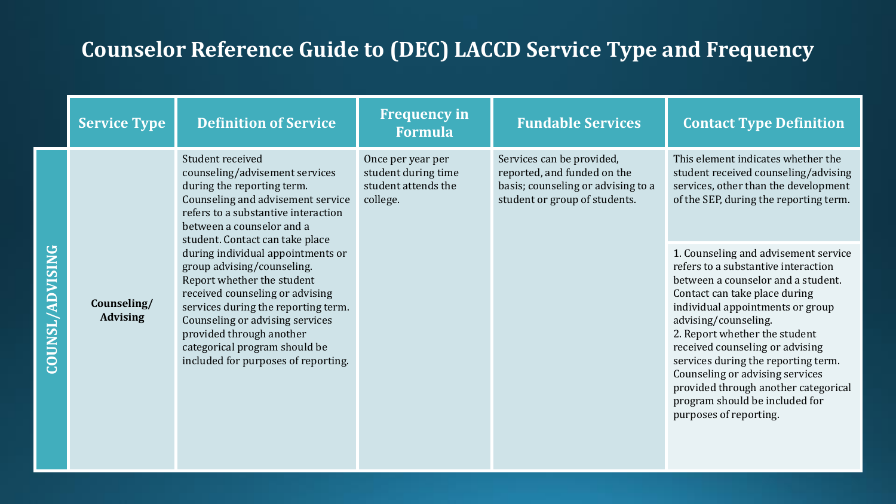|                        | <b>Service Type</b>            | <b>Definition of Service</b>                                                                                                                                                                                                                                                                                   | <b>Frequency in</b><br><b>Formula</b>                                       | <b>Fundable Services</b>                                                                                                        | <b>Contact Type Definition</b>                                                                                                                                                                                                                                                                                                                                                                                                                                   |
|------------------------|--------------------------------|----------------------------------------------------------------------------------------------------------------------------------------------------------------------------------------------------------------------------------------------------------------------------------------------------------------|-----------------------------------------------------------------------------|---------------------------------------------------------------------------------------------------------------------------------|------------------------------------------------------------------------------------------------------------------------------------------------------------------------------------------------------------------------------------------------------------------------------------------------------------------------------------------------------------------------------------------------------------------------------------------------------------------|
|                        |                                | Student received<br>counseling/advisement services<br>during the reporting term.<br>Counseling and advisement service<br>refers to a substantive interaction<br>between a counselor and a<br>student. Contact can take place                                                                                   | Once per year per<br>student during time<br>student attends the<br>college. | Services can be provided,<br>reported, and funded on the<br>basis; counseling or advising to a<br>student or group of students. | This element indicates whether the<br>student received counseling/advising<br>services, other than the development<br>of the SEP, during the reporting term.                                                                                                                                                                                                                                                                                                     |
| <b>COUNSL/ADVISING</b> | Counseling/<br><b>Advising</b> | during individual appointments or<br>group advising/counseling.<br>Report whether the student<br>received counseling or advising<br>services during the reporting term.<br>Counseling or advising services<br>provided through another<br>categorical program should be<br>included for purposes of reporting. |                                                                             |                                                                                                                                 | 1. Counseling and advisement service<br>refers to a substantive interaction<br>between a counselor and a student.<br>Contact can take place during<br>individual appointments or group<br>advising/counseling.<br>2. Report whether the student<br>received counseling or advising<br>services during the reporting term.<br>Counseling or advising services<br>provided through another categorical<br>program should be included for<br>purposes of reporting. |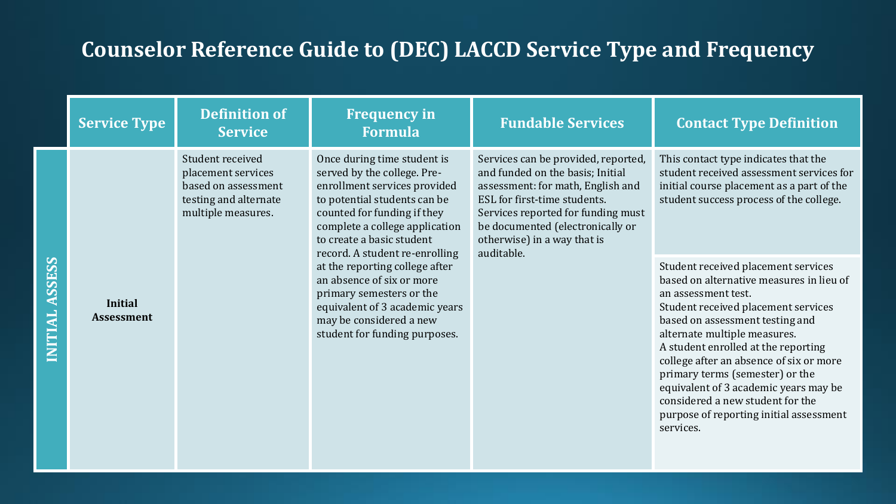| <b>Service Type</b>                 | <b>Definition of</b><br><b>Service</b>                                                                       | <b>Frequency in</b><br><b>Formula</b>                                                                                                                                                                                                                      | <b>Fundable Services</b>                                                                                                                                                                                                                                            | <b>Contact Type Definition</b>                                                                                                                                                                                                                                                                                                                                                                                                                                             |
|-------------------------------------|--------------------------------------------------------------------------------------------------------------|------------------------------------------------------------------------------------------------------------------------------------------------------------------------------------------------------------------------------------------------------------|---------------------------------------------------------------------------------------------------------------------------------------------------------------------------------------------------------------------------------------------------------------------|----------------------------------------------------------------------------------------------------------------------------------------------------------------------------------------------------------------------------------------------------------------------------------------------------------------------------------------------------------------------------------------------------------------------------------------------------------------------------|
|                                     | Student received<br>placement services<br>based on assessment<br>testing and alternate<br>multiple measures. | Once during time student is<br>served by the college. Pre-<br>enrollment services provided<br>to potential students can be<br>counted for funding if they<br>complete a college application<br>to create a basic student<br>record. A student re-enrolling | Services can be provided, reported,<br>and funded on the basis; Initial<br>assessment: for math, English and<br>ESL for first-time students.<br>Services reported for funding must<br>be documented (electronically or<br>otherwise) in a way that is<br>auditable. | This contact type indicates that the<br>student received assessment services for<br>initial course placement as a part of the<br>student success process of the college.                                                                                                                                                                                                                                                                                                   |
| <b>Initial</b><br><b>Assessment</b> |                                                                                                              | at the reporting college after<br>an absence of six or more<br>primary semesters or the<br>equivalent of 3 academic years<br>may be considered a new<br>student for funding purposes.                                                                      |                                                                                                                                                                                                                                                                     | Student received placement services<br>based on alternative measures in lieu of<br>an assessment test.<br>Student received placement services<br>based on assessment testing and<br>alternate multiple measures.<br>A student enrolled at the reporting<br>college after an absence of six or more<br>primary terms (semester) or the<br>equivalent of 3 academic years may be<br>considered a new student for the<br>purpose of reporting initial assessment<br>services. |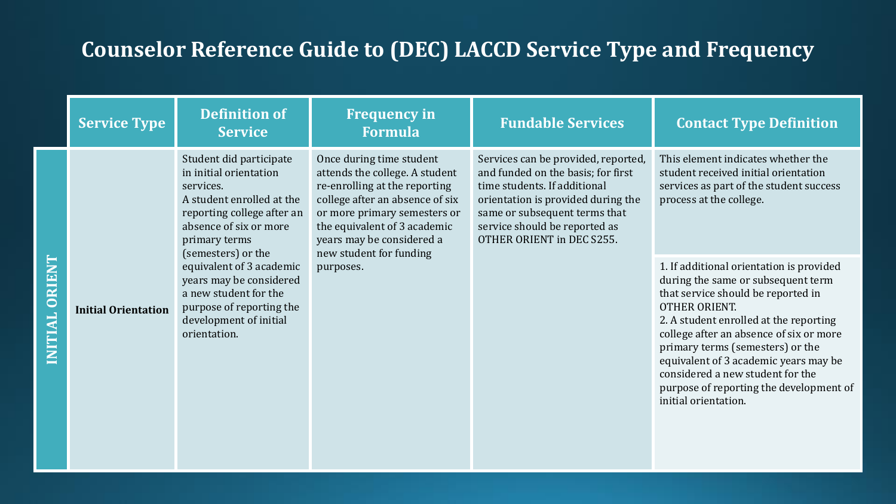|                     | <b>Service Type</b>        | <b>Definition of</b><br><b>Service</b>                                                                                                                                                     | <b>Frequency in</b><br><b>Formula</b>                                                                                                                                                                                                                  | <b>Fundable Services</b>                                                                                                                                                                                                                       | <b>Contact Type Definition</b>                                                                                                                                                                                                                                                                                                                                                                                        |
|---------------------|----------------------------|--------------------------------------------------------------------------------------------------------------------------------------------------------------------------------------------|--------------------------------------------------------------------------------------------------------------------------------------------------------------------------------------------------------------------------------------------------------|------------------------------------------------------------------------------------------------------------------------------------------------------------------------------------------------------------------------------------------------|-----------------------------------------------------------------------------------------------------------------------------------------------------------------------------------------------------------------------------------------------------------------------------------------------------------------------------------------------------------------------------------------------------------------------|
|                     |                            | Student did participate<br>in initial orientation<br>services.<br>A student enrolled at the<br>reporting college after an<br>absence of six or more<br>primary terms<br>(semesters) or the | Once during time student<br>attends the college. A student<br>re-enrolling at the reporting<br>college after an absence of six<br>or more primary semesters or<br>the equivalent of 3 academic<br>years may be considered a<br>new student for funding | Services can be provided, reported,<br>and funded on the basis; for first<br>time students. If additional<br>orientation is provided during the<br>same or subsequent terms that<br>service should be reported as<br>OTHER ORIENT in DEC S255. | This element indicates whether the<br>student received initial orientation<br>services as part of the student success<br>process at the college.                                                                                                                                                                                                                                                                      |
| ORIEN<br><b>AL.</b> | <b>Initial Orientation</b> | equivalent of 3 academic<br>years may be considered<br>a new student for the<br>purpose of reporting the<br>development of initial<br>orientation.                                         | purposes.                                                                                                                                                                                                                                              |                                                                                                                                                                                                                                                | 1. If additional orientation is provided<br>during the same or subsequent term<br>that service should be reported in<br><b>OTHER ORIENT.</b><br>2. A student enrolled at the reporting<br>college after an absence of six or more<br>primary terms (semesters) or the<br>equivalent of 3 academic years may be<br>considered a new student for the<br>purpose of reporting the development of<br>initial orientation. |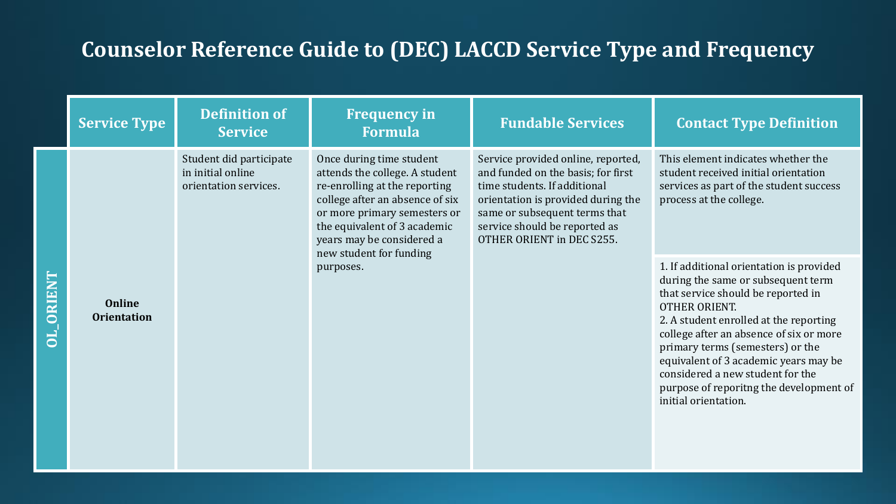|       | <b>Service Type</b>          | <b>Definition of</b><br><b>Service</b>                                | <b>Frequency in</b><br><b>Formula</b>                                                                                                                                                                                                                  | <b>Fundable Services</b>                                                                                                                                                                                                                      | <b>Contact Type Definition</b>                                                                                                                                                                                                                                                                                                                                                                                         |
|-------|------------------------------|-----------------------------------------------------------------------|--------------------------------------------------------------------------------------------------------------------------------------------------------------------------------------------------------------------------------------------------------|-----------------------------------------------------------------------------------------------------------------------------------------------------------------------------------------------------------------------------------------------|------------------------------------------------------------------------------------------------------------------------------------------------------------------------------------------------------------------------------------------------------------------------------------------------------------------------------------------------------------------------------------------------------------------------|
|       |                              | Student did participate<br>in initial online<br>orientation services. | Once during time student<br>attends the college. A student<br>re-enrolling at the reporting<br>college after an absence of six<br>or more primary semesters or<br>the equivalent of 3 academic<br>years may be considered a<br>new student for funding | Service provided online, reported,<br>and funded on the basis; for first<br>time students. If additional<br>orientation is provided during the<br>same or subsequent terms that<br>service should be reported as<br>OTHER ORIENT in DEC S255. | This element indicates whether the<br>student received initial orientation<br>services as part of the student success<br>process at the college.                                                                                                                                                                                                                                                                       |
| ORIEN | Online<br><b>Orientation</b> |                                                                       | purposes.                                                                                                                                                                                                                                              |                                                                                                                                                                                                                                               | 1. If additional orientation is provided<br>during the same or subsequent term<br>that service should be reported in<br><b>OTHER ORIENT.</b><br>2. A student enrolled at the reporting<br>college after an absence of six or more<br>primary terms (semesters) or the<br>equivalent of 3 academic years may be<br>considered a new student for the<br>purpose of reporiting the development of<br>initial orientation. |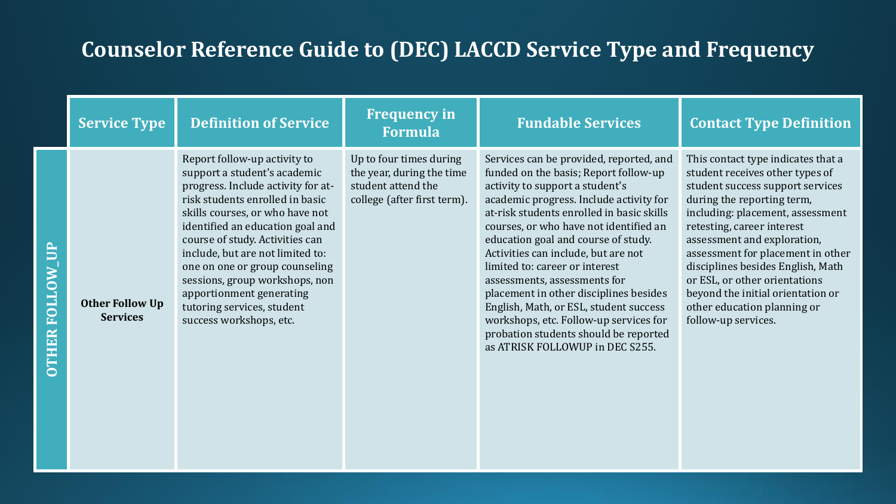| <b>Service Type</b>                       | <b>Definition of Service</b>                                                                                                                                                                                                                                                                                                                                                                                                                 | <b>Frequency in</b><br><b>Formula</b>                                                                     | <b>Fundable Services</b>                                                                                                                                                                                                                                                                                                                                                                                                                                                                                                                                                                                        | <b>Contact Type Definition</b>                                                                                                                                                                                                                                                                                                                                                                                                                 |
|-------------------------------------------|----------------------------------------------------------------------------------------------------------------------------------------------------------------------------------------------------------------------------------------------------------------------------------------------------------------------------------------------------------------------------------------------------------------------------------------------|-----------------------------------------------------------------------------------------------------------|-----------------------------------------------------------------------------------------------------------------------------------------------------------------------------------------------------------------------------------------------------------------------------------------------------------------------------------------------------------------------------------------------------------------------------------------------------------------------------------------------------------------------------------------------------------------------------------------------------------------|------------------------------------------------------------------------------------------------------------------------------------------------------------------------------------------------------------------------------------------------------------------------------------------------------------------------------------------------------------------------------------------------------------------------------------------------|
| <b>Other Follow Up</b><br><b>Services</b> | Report follow-up activity to<br>support a student's academic<br>progress. Include activity for at-<br>risk students enrolled in basic<br>skills courses, or who have not<br>identified an education goal and<br>course of study. Activities can<br>include, but are not limited to:<br>one on one or group counseling<br>sessions, group workshops, non<br>apportionment generating<br>tutoring services, student<br>success workshops, etc. | Up to four times during<br>the year, during the time<br>student attend the<br>college (after first term). | Services can be provided, reported, and<br>funded on the basis; Report follow-up<br>activity to support a student's<br>academic progress. Include activity for<br>at-risk students enrolled in basic skills<br>courses, or who have not identified an<br>education goal and course of study.<br>Activities can include, but are not<br>limited to: career or interest<br>assessments, assessments for<br>placement in other disciplines besides<br>English, Math, or ESL, student success<br>workshops, etc. Follow-up services for<br>probation students should be reported<br>as ATRISK FOLLOWUP in DEC S255. | This contact type indicates that a<br>student receives other types of<br>student success support services<br>during the reporting term,<br>including: placement, assessment<br>retesting, career interest<br>assessment and exploration,<br>assessment for placement in other<br>disciplines besides English, Math<br>or ESL, or other orientations<br>beyond the initial orientation or<br>other education planning or<br>follow-up services. |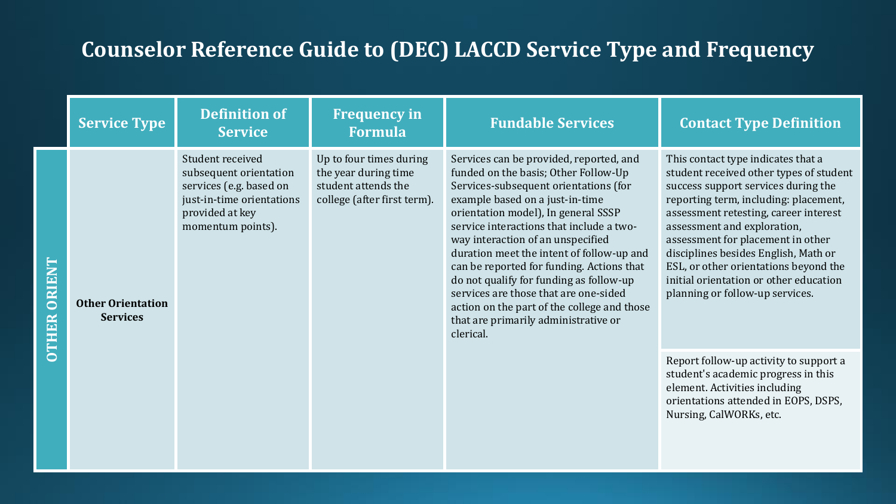|                         | <b>Service Type</b>                         | <b>Definition of</b><br><b>Service</b>                                                                                                     | <b>Frequency in</b><br><b>Formula</b>                                                                 | <b>Fundable Services</b>                                                                                                                                                                                                                                                                                                                                                                                                                                                                                                                                              | <b>Contact Type Definition</b>                                                                                                                                                                                                                                                                                                                                                                                                           |
|-------------------------|---------------------------------------------|--------------------------------------------------------------------------------------------------------------------------------------------|-------------------------------------------------------------------------------------------------------|-----------------------------------------------------------------------------------------------------------------------------------------------------------------------------------------------------------------------------------------------------------------------------------------------------------------------------------------------------------------------------------------------------------------------------------------------------------------------------------------------------------------------------------------------------------------------|------------------------------------------------------------------------------------------------------------------------------------------------------------------------------------------------------------------------------------------------------------------------------------------------------------------------------------------------------------------------------------------------------------------------------------------|
| $\overline{\mathbf{C}}$ | <b>Other Orientation</b><br><b>Services</b> | Student received<br>subsequent orientation<br>services (e.g. based on<br>just-in-time orientations<br>provided at key<br>momentum points). | Up to four times during<br>the year during time<br>student attends the<br>college (after first term). | Services can be provided, reported, and<br>funded on the basis; Other Follow-Up<br>Services-subsequent orientations (for<br>example based on a just-in-time<br>orientation model), In general SSSP<br>service interactions that include a two-<br>way interaction of an unspecified<br>duration meet the intent of follow-up and<br>can be reported for funding. Actions that<br>do not qualify for funding as follow-up<br>services are those that are one-sided<br>action on the part of the college and those<br>that are primarily administrative or<br>clerical. | This contact type indicates that a<br>student received other types of student<br>success support services during the<br>reporting term, including: placement,<br>assessment retesting, career interest<br>assessment and exploration,<br>assessment for placement in other<br>disciplines besides English, Math or<br>ESL, or other orientations beyond the<br>initial orientation or other education<br>planning or follow-up services. |
|                         |                                             |                                                                                                                                            |                                                                                                       |                                                                                                                                                                                                                                                                                                                                                                                                                                                                                                                                                                       | Report follow-up activity to support a<br>student's academic progress in this<br>element. Activities including<br>orientations attended in EOPS, DSPS,<br>Nursing, CalWORKs, etc.                                                                                                                                                                                                                                                        |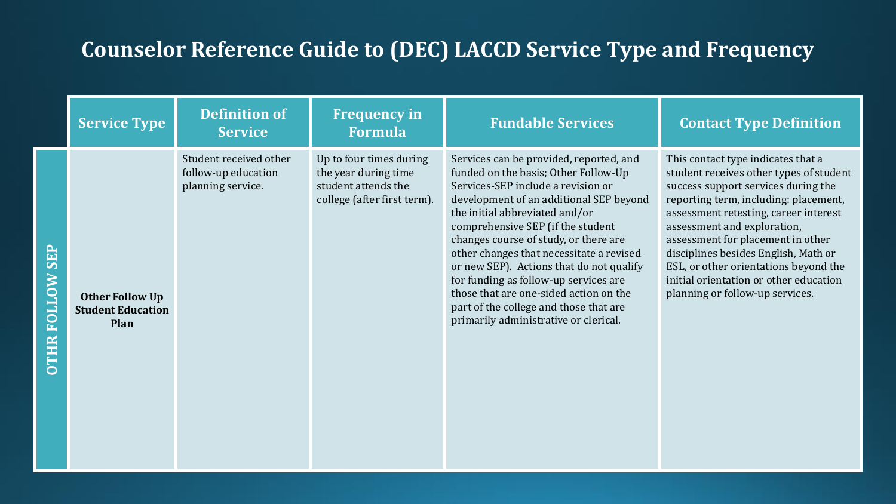|      | <b>Service Type</b>                                        | <b>Definition of</b><br><b>Service</b>                             | <b>Frequency in</b><br><b>Formula</b>                                                                 | <b>Fundable Services</b>                                                                                                                                                                                                                                                                                                                                                                                                                                                                                                                       | <b>Contact Type Definition</b>                                                                                                                                                                                                                                                                                                                                                                                                           |
|------|------------------------------------------------------------|--------------------------------------------------------------------|-------------------------------------------------------------------------------------------------------|------------------------------------------------------------------------------------------------------------------------------------------------------------------------------------------------------------------------------------------------------------------------------------------------------------------------------------------------------------------------------------------------------------------------------------------------------------------------------------------------------------------------------------------------|------------------------------------------------------------------------------------------------------------------------------------------------------------------------------------------------------------------------------------------------------------------------------------------------------------------------------------------------------------------------------------------------------------------------------------------|
| TTOE | <b>Other Follow Up</b><br><b>Student Education</b><br>Plan | Student received other<br>follow-up education<br>planning service. | Up to four times during<br>the year during time<br>student attends the<br>college (after first term). | Services can be provided, reported, and<br>funded on the basis; Other Follow-Up<br>Services-SEP include a revision or<br>development of an additional SEP beyond<br>the initial abbreviated and/or<br>comprehensive SEP (if the student<br>changes course of study, or there are<br>other changes that necessitate a revised<br>or new SEP). Actions that do not qualify<br>for funding as follow-up services are<br>those that are one-sided action on the<br>part of the college and those that are<br>primarily administrative or clerical. | This contact type indicates that a<br>student receives other types of student<br>success support services during the<br>reporting term, including: placement,<br>assessment retesting, career interest<br>assessment and exploration,<br>assessment for placement in other<br>disciplines besides English, Math or<br>ESL, or other orientations beyond the<br>initial orientation or other education<br>planning or follow-up services. |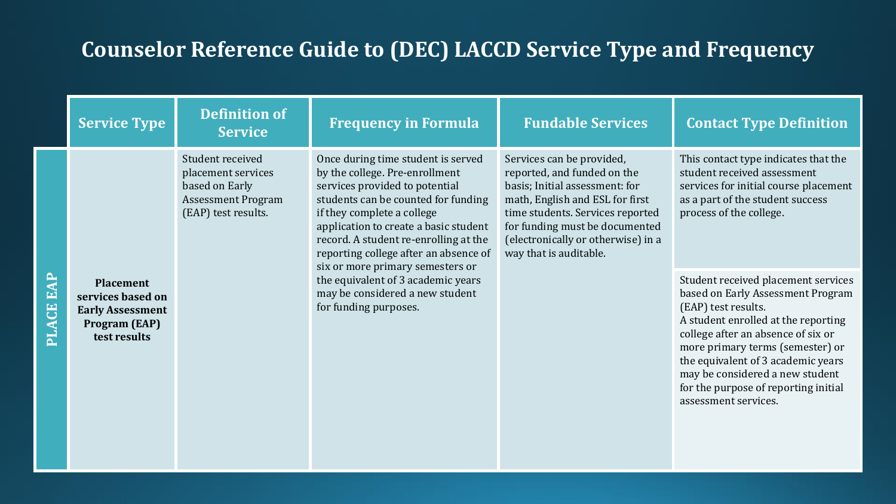|              | <b>Service Type</b>                                                                                      | <b>Definition of</b><br><b>Service</b>                                                                       | <b>Frequency in Formula</b>                                                                                                                                                                                                                                                                                                                | <b>Fundable Services</b>                                                                                                                                                                                                                                            | <b>Contact Type Definition</b>                                                                                                                                                                                                                                                                                                                            |
|--------------|----------------------------------------------------------------------------------------------------------|--------------------------------------------------------------------------------------------------------------|--------------------------------------------------------------------------------------------------------------------------------------------------------------------------------------------------------------------------------------------------------------------------------------------------------------------------------------------|---------------------------------------------------------------------------------------------------------------------------------------------------------------------------------------------------------------------------------------------------------------------|-----------------------------------------------------------------------------------------------------------------------------------------------------------------------------------------------------------------------------------------------------------------------------------------------------------------------------------------------------------|
|              |                                                                                                          | Student received<br>placement services<br>based on Early<br><b>Assessment Program</b><br>(EAP) test results. | Once during time student is served<br>by the college. Pre-enrollment<br>services provided to potential<br>students can be counted for funding<br>if they complete a college<br>application to create a basic student<br>record. A student re-enrolling at the<br>reporting college after an absence of<br>six or more primary semesters or | Services can be provided,<br>reported, and funded on the<br>basis; Initial assessment: for<br>math, English and ESL for first<br>time students. Services reported<br>for funding must be documented<br>(electronically or otherwise) in a<br>way that is auditable. | This contact type indicates that the<br>student received assessment<br>services for initial course placement<br>as a part of the student success<br>process of the college.                                                                                                                                                                               |
| EAP<br>PLACE | <b>Placement</b><br>services based on<br><b>Early Assessment</b><br><b>Program (EAP)</b><br>test results |                                                                                                              | the equivalent of 3 academic years<br>may be considered a new student<br>for funding purposes.                                                                                                                                                                                                                                             |                                                                                                                                                                                                                                                                     | Student received placement services<br>based on Early Assessment Program<br>(EAP) test results.<br>A student enrolled at the reporting<br>college after an absence of six or<br>more primary terms (semester) or<br>the equivalent of 3 academic years<br>may be considered a new student<br>for the purpose of reporting initial<br>assessment services. |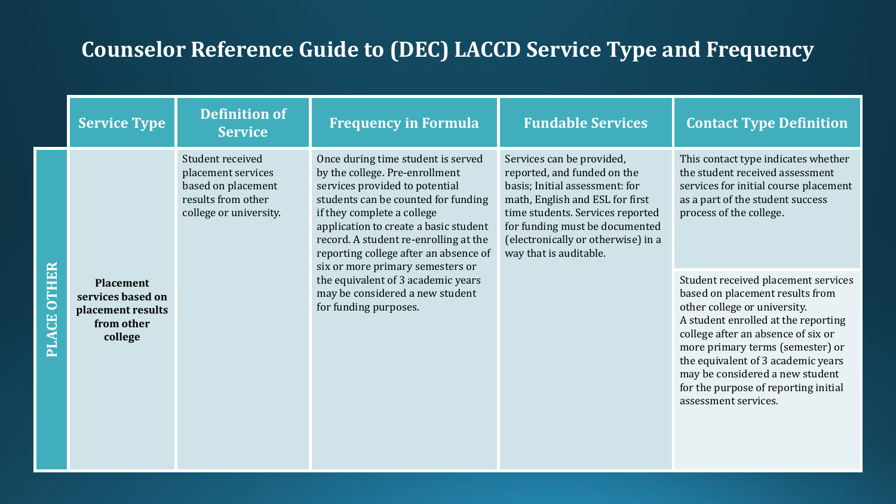|                    | <b>Service Type</b>                                                                 | <b>Definition of</b><br><b>Service</b>                                                                       | <b>Frequency in Formula</b>                                                                                                                                                                                                                                                                                                                                                                                                                  | <b>Fundable Services</b>                                                                                                                                                                                                                                            | <b>Contact Type Definition</b>                                                                                                                                                                                                                                                                                                                                   |
|--------------------|-------------------------------------------------------------------------------------|--------------------------------------------------------------------------------------------------------------|----------------------------------------------------------------------------------------------------------------------------------------------------------------------------------------------------------------------------------------------------------------------------------------------------------------------------------------------------------------------------------------------------------------------------------------------|---------------------------------------------------------------------------------------------------------------------------------------------------------------------------------------------------------------------------------------------------------------------|------------------------------------------------------------------------------------------------------------------------------------------------------------------------------------------------------------------------------------------------------------------------------------------------------------------------------------------------------------------|
| <b>PLACE OTHER</b> |                                                                                     | Student received<br>placement services<br>based on placement<br>results from other<br>college or university. | Once during time student is served<br>by the college. Pre-enrollment<br>services provided to potential<br>students can be counted for funding<br>if they complete a college<br>application to create a basic student<br>record. A student re-enrolling at the<br>reporting college after an absence of<br>six or more primary semesters or<br>the equivalent of 3 academic years<br>may be considered a new student<br>for funding purposes. | Services can be provided,<br>reported, and funded on the<br>basis; Initial assessment: for<br>math, English and ESL for first<br>time students. Services reported<br>for funding must be documented<br>(electronically or otherwise) in a<br>way that is auditable. | This contact type indicates whether<br>the student received assessment<br>services for initial course placement<br>as a part of the student success<br>process of the college.                                                                                                                                                                                   |
|                    | <b>Placement</b><br>services based on<br>placement results<br>from other<br>college |                                                                                                              |                                                                                                                                                                                                                                                                                                                                                                                                                                              |                                                                                                                                                                                                                                                                     | Student received placement services<br>based on placement results from<br>other college or university.<br>A student enrolled at the reporting<br>college after an absence of six or<br>more primary terms (semester) or<br>the equivalent of 3 academic years<br>may be considered a new student<br>for the purpose of reporting initial<br>assessment services. |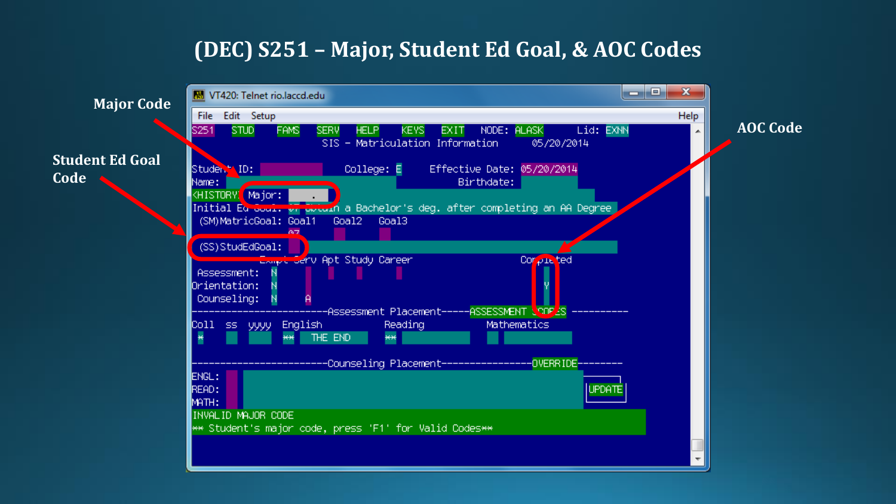#### **(DEC) S251 – Major, Student Ed Goal, & AOC Codes**

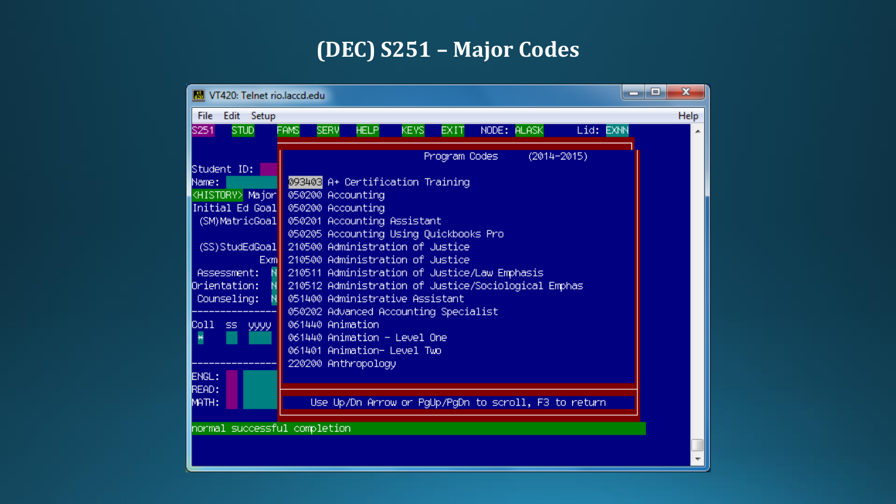# **(DEC) S251 – Major Codes**

| Edit Setup<br>File                                                                                                                                                                                                                                                                                                                                                                                                                                                                                                                                                                                                                                                                                                                                                                                                                   | Help |  |  |  |  |  |
|--------------------------------------------------------------------------------------------------------------------------------------------------------------------------------------------------------------------------------------------------------------------------------------------------------------------------------------------------------------------------------------------------------------------------------------------------------------------------------------------------------------------------------------------------------------------------------------------------------------------------------------------------------------------------------------------------------------------------------------------------------------------------------------------------------------------------------------|------|--|--|--|--|--|
| NODE: ALASK<br><b>FAMS</b><br><b>SERV</b><br><b>HELP</b><br><b>KEYS</b><br>Lid: EXNN<br>S251<br><b>STUD</b><br>EXIT.                                                                                                                                                                                                                                                                                                                                                                                                                                                                                                                                                                                                                                                                                                                 | ∸    |  |  |  |  |  |
| Program Codes<br>$(2014 - 2015)$<br>Student ID:<br>093403 A+ Certification Training<br>Name:<br>KHISTORY> Major  <br>050200 Accounting<br>050200 Accounting<br>Initial Ed Goal <br>050201 Accounting Assistant<br>(SM)MatricGoal  <br>050205 Accounting Using Quickbooks Pro<br>210500 Administration of Justice<br>(SS) StudEdGoal<br>210500 Administration of Justice<br>Exml<br>210511 Administration of Justice/Law Emphasis<br>Assessment:<br>210512 Administration of Justice/Sociological Emphas<br>Orientation:<br>051400 Administrative Assistant<br>Counseling:<br>050202 Advanced Accounting Specialist<br>061440 Animation<br>Coll ss yyyy<br>061440 Animation - Level One<br>₩<br>061401 Animation- Level Two<br>220200 Anthropology<br>ENGL:<br>READ:<br>Use Up/Dn Arrow or PgUp/PgDn to scroll, F3 to return<br>MATH: |      |  |  |  |  |  |
| normal successful completion                                                                                                                                                                                                                                                                                                                                                                                                                                                                                                                                                                                                                                                                                                                                                                                                         |      |  |  |  |  |  |
|                                                                                                                                                                                                                                                                                                                                                                                                                                                                                                                                                                                                                                                                                                                                                                                                                                      |      |  |  |  |  |  |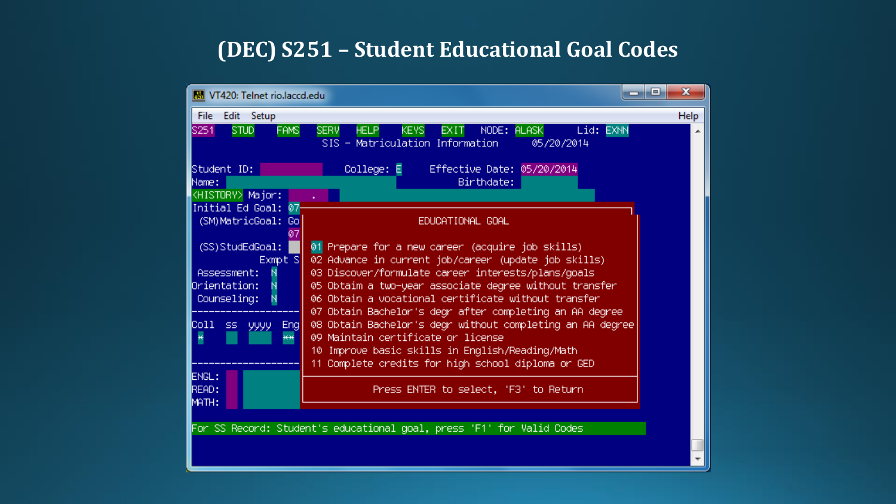#### **(DEC) S251 – Student Educational Goal Codes**

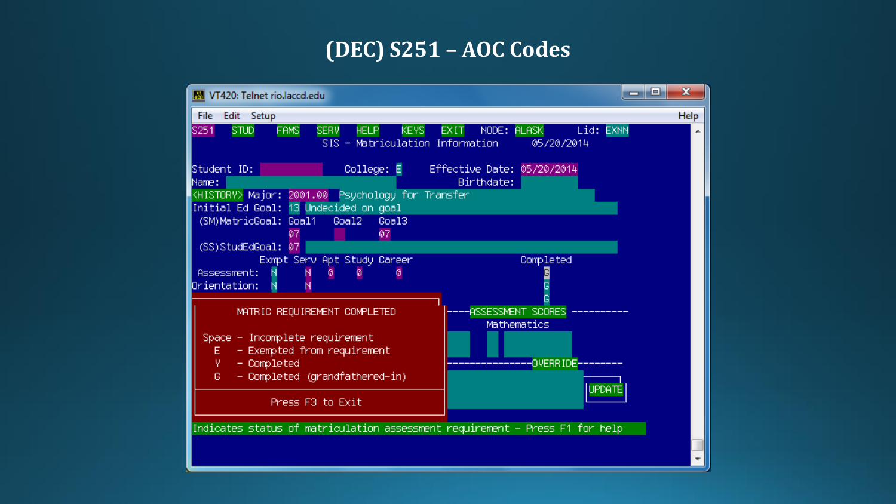#### **(DEC) S251 – AOC Codes**